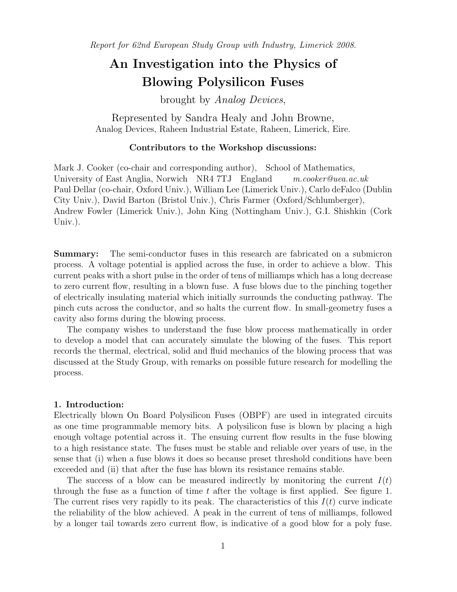Report for 62nd European Study Group with Industry, Limerick 2008.

# An Investigation into the Physics of Blowing Polysilicon Fuses

brought by Analog Devices,

Represented by Sandra Healy and John Browne, Analog Devices, Raheen Industrial Estate, Raheen, Limerick, Eire.

# Contributors to the Workshop discussions:

Mark J. Cooker (co-chair and corresponding author), School of Mathematics, University of East Anglia, Norwich NR4 7TJ England m.cooker@uea.ac.uk Paul Dellar (co-chair, Oxford Univ.), William Lee (Limerick Univ.), Carlo deFalco (Dublin City Univ.), David Barton (Bristol Univ.), Chris Farmer (Oxford/Schlumberger), Andrew Fowler (Limerick Univ.), John King (Nottingham Univ.), G.I. Shishkin (Cork Univ.).

Summary: The semi-conductor fuses in this research are fabricated on a submicron process. A voltage potential is applied across the fuse, in order to achieve a blow. This current peaks with a short pulse in the order of tens of milliamps which has a long decrease to zero current flow, resulting in a blown fuse. A fuse blows due to the pinching together of electrically insulating material which initially surrounds the conducting pathway. The pinch cuts across the conductor, and so halts the current flow. In small-geometry fuses a cavity also forms during the blowing process.

The company wishes to understand the fuse blow process mathematically in order to develop a model that can accurately simulate the blowing of the fuses. This report records the thermal, electrical, solid and fluid mechanics of the blowing process that was discussed at the Study Group, with remarks on possible future research for modelling the process.

# 1. Introduction:

Electrically blown On Board Polysilicon Fuses (OBPF) are used in integrated circuits as one time programmable memory bits. A polysilicon fuse is blown by placing a high enough voltage potential across it. The ensuing current flow results in the fuse blowing to a high resistance state. The fuses must be stable and reliable over years of use, in the sense that (i) when a fuse blows it does so because preset threshold conditions have been exceeded and (ii) that after the fuse has blown its resistance remains stable.

The success of a blow can be measured indirectly by monitoring the current  $I(t)$ through the fuse as a function of time t after the voltage is first applied. See figure 1. The current rises very rapidly to its peak. The characteristics of this  $I(t)$  curve indicate the reliability of the blow achieved. A peak in the current of tens of milliamps, followed by a longer tail towards zero current flow, is indicative of a good blow for a poly fuse.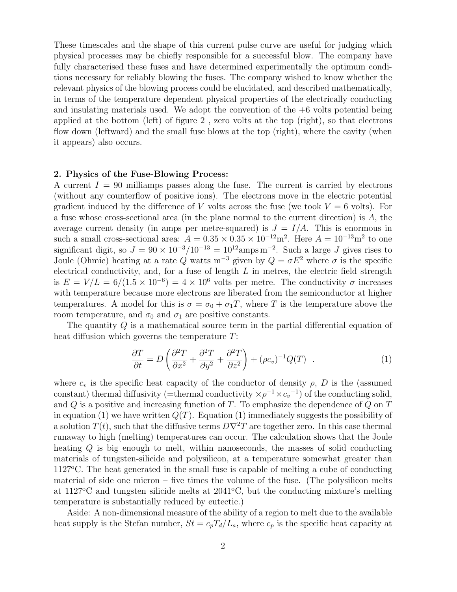These timescales and the shape of this current pulse curve are useful for judging which physical processes may be chiefly responsible for a successful blow. The company have fully characterised these fuses and have determined experimentally the optimum conditions necessary for reliably blowing the fuses. The company wished to know whether the relevant physics of the blowing process could be elucidated, and described mathematically, in terms of the temperature dependent physical properties of the electrically conducting and insulating materials used. We adopt the convention of the  $+6$  volts potential being applied at the bottom (left) of figure 2 , zero volts at the top (right), so that electrons flow down (leftward) and the small fuse blows at the top (right), where the cavity (when it appears) also occurs.

# 2. Physics of the Fuse-Blowing Process:

A current  $I = 90$  milliamps passes along the fuse. The current is carried by electrons (without any counterflow of positive ions). The electrons move in the electric potential gradient induced by the difference of V volts across the fuse (we took  $V = 6$  volts). For a fuse whose cross-sectional area (in the plane normal to the current direction) is A, the average current density (in amps per metre-squared) is  $J = I/A$ . This is enormous in such a small cross-sectional area:  $A = 0.35 \times 0.35 \times 10^{-12}$  m<sup>2</sup>. Here  $A = 10^{-13}$  m<sup>2</sup> to one significant digit, so  $J = 90 \times 10^{-3} / 10^{-13} = 10^{12}$ amps m<sup>-2</sup>. Such a large J gives rises to Joule (Ohmic) heating at a rate Q watts m<sup>-3</sup> given by  $Q = \sigma E^2$  where  $\sigma$  is the specific electrical conductivity, and, for a fuse of length  $L$  in metres, the electric field strength is  $E = V/L = 6/(1.5 \times 10^{-6}) = 4 \times 10^{6}$  volts per metre. The conductivity  $\sigma$  increases with temperature because more electrons are liberated from the semiconductor at higher temperatures. A model for this is  $\sigma = \sigma_0 + \sigma_1 T$ , where T is the temperature above the room temperature, and  $\sigma_0$  and  $\sigma_1$  are positive constants.

The quantity Q is a mathematical source term in the partial differential equation of heat diffusion which governs the temperature T:

$$
\frac{\partial T}{\partial t} = D \left( \frac{\partial^2 T}{\partial x^2} + \frac{\partial^2 T}{\partial y^2} + \frac{\partial^2 T}{\partial z^2} \right) + (\rho c_v)^{-1} Q(T) \quad . \tag{1}
$$

where  $c_v$  is the specific heat capacity of the conductor of density  $\rho$ , D is the (assumed constant) thermal diffusivity (=thermal conductivity  $\times \rho^{-1} \times c_v^{-1}$ ) of the conducting solid, and  $Q$  is a positive and increasing function of  $T$ . To emphasize the dependence of  $Q$  on  $T$ in equation (1) we have written  $Q(T)$ . Equation (1) immediately suggests the possibility of a solution  $T(t)$ , such that the diffusive terms  $D\nabla^2 T$  are together zero. In this case thermal runaway to high (melting) temperatures can occur. The calculation shows that the Joule heating Q is big enough to melt, within nanoseconds, the masses of solid conducting materials of tungsten-silicide and polysilicon, at a temperature somewhat greater than  $1127^{\circ}$ C. The heat generated in the small fuse is capable of melting a cube of conducting material of side one micron – five times the volume of the fuse. (The polysilicon melts at  $1127^{\circ}\text{C}$  and tungsten silicide melts at  $2041^{\circ}\text{C}$ , but the conducting mixture's melting temperature is substantially reduced by eutectic.)

Aside: A non-dimensional measure of the ability of a region to melt due to the available heat supply is the Stefan number,  $St = c_pT_d/L_a$ , where  $c_p$  is the specific heat capacity at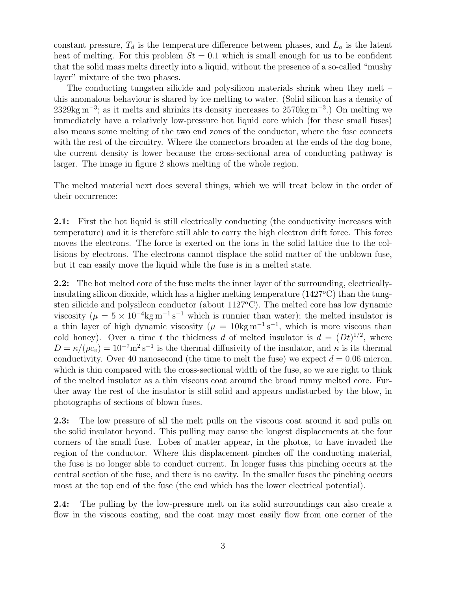constant pressure,  $T_d$  is the temperature difference between phases, and  $L_a$  is the latent heat of melting. For this problem  $St = 0.1$  which is small enough for us to be confident that the solid mass melts directly into a liquid, without the presence of a so-called "mushy layer" mixture of the two phases.

The conducting tungsten silicide and polysilicon materials shrink when they melt – this anomalous behaviour is shared by ice melting to water. (Solid silicon has a density of 2329kg m<sup>-3</sup>; as it melts and shrinks its density increases to 2570kg m<sup>-3</sup>.) On melting we immediately have a relatively low-pressure hot liquid core which (for these small fuses) also means some melting of the two end zones of the conductor, where the fuse connects with the rest of the circuitry. Where the connectors broaden at the ends of the dog bone, the current density is lower because the cross-sectional area of conducting pathway is larger. The image in figure 2 shows melting of the whole region.

The melted material next does several things, which we will treat below in the order of their occurrence:

2.1: First the hot liquid is still electrically conducting (the conductivity increases with temperature) and it is therefore still able to carry the high electron drift force. This force moves the electrons. The force is exerted on the ions in the solid lattice due to the collisions by electrons. The electrons cannot displace the solid matter of the unblown fuse, but it can easily move the liquid while the fuse is in a melted state.

2.2: The hot melted core of the fuse melts the inner layer of the surrounding, electricallyinsulating silicon dioxide, which has a higher melting temperature  $(1427^{\circ}C)$  than the tungsten silicide and polysilcon conductor (about  $1127^{\circ}$ C). The melted core has low dynamic viscosity ( $\mu = 5 \times 10^{-4}$ kg m<sup>-1</sup> s<sup>-1</sup> which is runnier than water); the melted insulator is a thin layer of high dynamic viscosity  $(\mu = 10 \text{kg m}^{-1} \text{ s}^{-1})$ , which is more viscous than cold honey). Over a time t the thickness d of melted insulator is  $d = (Dt)^{1/2}$ , where  $D = \kappa/(\rho c_v) = 10^{-7} \text{m}^2 \text{s}^{-1}$  is the thermal diffusivity of the insulator, and  $\kappa$  is its thermal conductivity. Over 40 nanosecond (the time to melt the fuse) we expect  $d = 0.06$  micron, which is thin compared with the cross-sectional width of the fuse, so we are right to think of the melted insulator as a thin viscous coat around the broad runny melted core. Further away the rest of the insulator is still solid and appears undisturbed by the blow, in photographs of sections of blown fuses.

2.3: The low pressure of all the melt pulls on the viscous coat around it and pulls on the solid insulator beyond. This pulling may cause the longest displacements at the four corners of the small fuse. Lobes of matter appear, in the photos, to have invaded the region of the conductor. Where this displacement pinches off the conducting material, the fuse is no longer able to conduct current. In longer fuses this pinching occurs at the central section of the fuse, and there is no cavity. In the smaller fuses the pinching occurs most at the top end of the fuse (the end which has the lower electrical potential).

2.4: The pulling by the low-pressure melt on its solid surroundings can also create a flow in the viscous coating, and the coat may most easily flow from one corner of the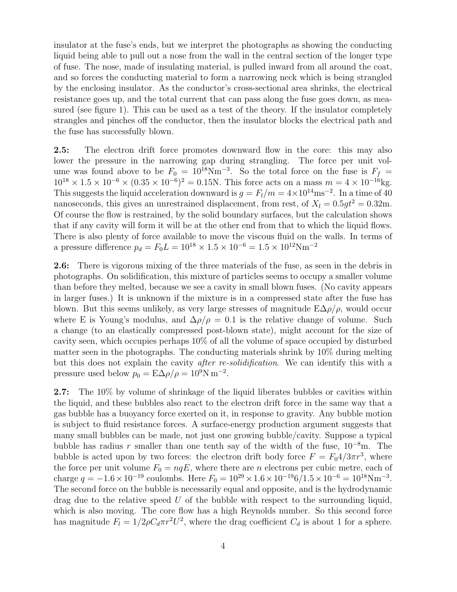insulator at the fuse's ends, but we interpret the photographs as showing the conducting liquid being able to pull out a nose from the wall in the central section of the longer type of fuse. The nose, made of insulating material, is pulled inward from all around the coat, and so forces the conducting material to form a narrowing neck which is being strangled by the enclosing insulator. As the conductor's cross-sectional area shrinks, the electrical resistance goes up, and the total current that can pass along the fuse goes down, as measured (see figure 1). This can be used as a test of the theory. If the insulator completely strangles and pinches off the conductor, then the insulator blocks the electrical path and the fuse has successfully blown.

2.5: The electron drift force promotes downward flow in the core: this may also lower the pressure in the narrowing gap during strangling. The force per unit volume was found above to be  $F_0 = 10^{18} \text{Nm}^{-3}$ . So the total force on the fuse is  $F_f =$  $10^{18} \times 1.5 \times 10^{-6} \times (0.35 \times 10^{-6})^2 = 0.15$ N. This force acts on a mass  $m = 4 \times 10^{-16}$ kg. This suggests the liquid acceleration downward is  $g = F_l/m = 4 \times 10^{14} \text{ms}^{-2}$ . In a time of 40 nanoseconds, this gives an unrestrained displacement, from rest, of  $X_l = 0.5gt^2 = 0.32$ m. Of course the flow is restrained, by the solid boundary surfaces, but the calculation shows that if any cavity will form it will be at the other end from that to which the liquid flows. There is also plenty of force available to move the viscous fluid on the walls. In terms of a pressure difference  $p_d = F_0 L = 10^{18} \times 1.5 \times 10^{-6} = 1.5 \times 10^{12} \mathrm{Nm}^{-2}$ 

2.6: There is vigorous mixing of the three materials of the fuse, as seen in the debris in photographs. On solidification, this mixture of particles seems to occupy a smaller volume than before they melted, because we see a cavity in small blown fuses. (No cavity appears in larger fuses.) It is unknown if the mixture is in a compressed state after the fuse has blown. But this seems unlikely, as very large stresses of magnitude  $E\Delta\rho/\rho$ , would occur where E is Young's modulus, and  $\Delta \rho / \rho = 0.1$  is the relative change of volume. Such a change (to an elastically compressed post-blown state), might account for the size of cavity seen, which occupies perhaps 10% of all the volume of space occupied by disturbed matter seen in the photographs. The conducting materials shrink by 10% during melting but this does not explain the cavity after re-solidification. We can identify this with a pressure used below  $p_0 = \mathbf{E}\Delta\rho/\rho = 10^9\text{N m}^{-2}$ .

2.7: The 10% by volume of shrinkage of the liquid liberates bubbles or cavities within the liquid, and these bubbles also react to the electron drift force in the same way that a gas bubble has a buoyancy force exerted on it, in response to gravity. Any bubble motion is subject to fluid resistance forces. A surface-energy production argument suggests that many small bubbles can be made, not just one growing bubble/cavity. Suppose a typical bubble has radius r smaller than one tenth say of the width of the fuse,  $10^{-8}$ m. The bubble is acted upon by two forces: the electron drift body force  $F = F_0 4/3\pi r^3$ , where the force per unit volume  $F_0 = nqE$ , where there are n electrons per cubic metre, each of charge  $q = -1.6 \times 10^{-19}$  coulombs. Here  $F_0 = 10^{29} \times 1.6 \times 10^{-19} 6 / 1.5 \times 10^{-6} = 10^{18} \text{Nm}^{-3}$ . The second force on the bubble is necessarily equal and opposite, and is the hydrodynamic drag due to the relative speed  $U$  of the bubble with respect to the surrounding liquid, which is also moving. The core flow has a high Reynolds number. So this second force has magnitude  $F_l = 1/2 \rho C_d \pi r^2 U^2$ , where the drag coefficient  $C_d$  is about 1 for a sphere.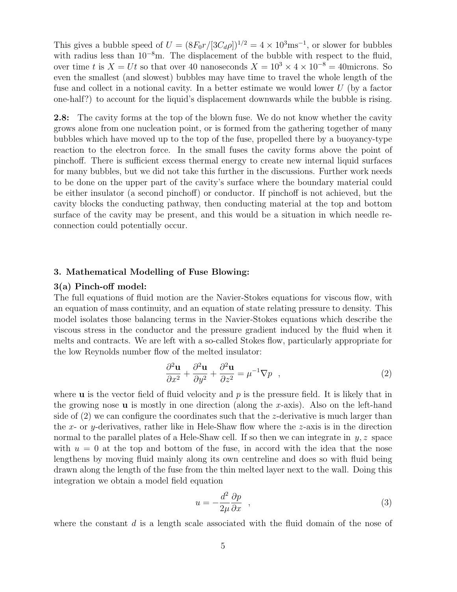This gives a bubble speed of  $U = (8F_0r/[3C_d\rho])^{1/2} = 4 \times 10^3 \text{ms}^{-1}$ , or slower for bubbles with radius less than  $10^{-8}$ m. The displacement of the bubble with respect to the fluid, over time t is  $X = Ut$  so that over 40 nanoseconds  $X = 10^3 \times 4 \times 10^{-8} = 40$ microns. So even the smallest (and slowest) bubbles may have time to travel the whole length of the fuse and collect in a notional cavity. In a better estimate we would lower U (by a factor one-half?) to account for the liquid's displacement downwards while the bubble is rising.

2.8: The cavity forms at the top of the blown fuse. We do not know whether the cavity grows alone from one nucleation point, or is formed from the gathering together of many bubbles which have moved up to the top of the fuse, propelled there by a buoyancy-type reaction to the electron force. In the small fuses the cavity forms above the point of pinchoff. There is sufficient excess thermal energy to create new internal liquid surfaces for many bubbles, but we did not take this further in the discussions. Further work needs to be done on the upper part of the cavity's surface where the boundary material could be either insulator (a second pinchoff) or conductor. If pinchoff is not achieved, but the cavity blocks the conducting pathway, then conducting material at the top and bottom surface of the cavity may be present, and this would be a situation in which needle reconnection could potentially occur.

# 3. Mathematical Modelling of Fuse Blowing:

# 3(a) Pinch-off model:

The full equations of fluid motion are the Navier-Stokes equations for viscous flow, with an equation of mass continuity, and an equation of state relating pressure to density. This model isolates those balancing terms in the Navier-Stokes equations which describe the viscous stress in the conductor and the pressure gradient induced by the fluid when it melts and contracts. We are left with a so-called Stokes flow, particularly appropriate for the low Reynolds number flow of the melted insulator:

$$
\frac{\partial^2 \mathbf{u}}{\partial x^2} + \frac{\partial^2 \mathbf{u}}{\partial y^2} + \frac{\partial^2 \mathbf{u}}{\partial z^2} = \mu^{-1} \nabla p \quad , \tag{2}
$$

where **u** is the vector field of fluid velocity and  $p$  is the pressure field. It is likely that in the growing nose  $\bf{u}$  is mostly in one direction (along the x-axis). Also on the left-hand side of  $(2)$  we can configure the coordinates such that the *z*-derivative is much larger than the x- or y-derivatives, rather like in Hele-Shaw flow where the  $z$ -axis is in the direction normal to the parallel plates of a Hele-Shaw cell. If so then we can integrate in  $y, z$  space with  $u = 0$  at the top and bottom of the fuse, in accord with the idea that the nose lengthens by moving fluid mainly along its own centreline and does so with fluid being drawn along the length of the fuse from the thin melted layer next to the wall. Doing this integration we obtain a model field equation

$$
u = -\frac{d^2}{2\mu} \frac{\partial p}{\partial x} \quad , \tag{3}
$$

where the constant  $d$  is a length scale associated with the fluid domain of the nose of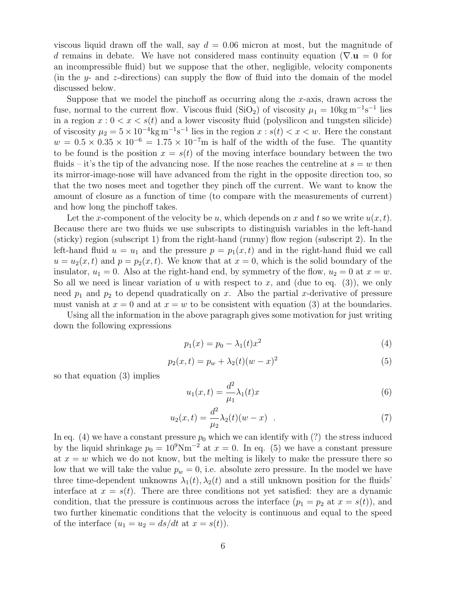viscous liquid drawn off the wall, say  $d = 0.06$  micron at most, but the magnitude of d remains in debate. We have not considered mass continuity equation ( $\nabla \cdot \mathbf{u} = 0$  for an incompressible fluid) but we suppose that the other, negligible, velocity components (in the  $y$ - and z-directions) can supply the flow of fluid into the domain of the model discussed below.

Suppose that we model the pinchoff as occurring along the x-axis, drawn across the fuse, normal to the current flow. Viscous fluid (SiO<sub>2</sub>) of viscosity  $\mu_1 = 10 \text{kg m}^{-1} \text{s}^{-1}$  lies in a region  $x: 0 < x < s(t)$  and a lower viscosity fluid (polysilicon and tungsten silicide) of viscosity  $\mu_2 = 5 \times 10^{-4}$ kg m<sup>-1</sup>s<sup>-1</sup> lies in the region  $x : s(t) < x < w$ . Here the constant  $w = 0.5 \times 0.35 \times 10^{-6} = 1.75 \times 10^{-7}$ m is half of the width of the fuse. The quantity to be found is the position  $x = s(t)$  of the moving interface boundary between the two fluids – it's the tip of the advancing nose. If the nose reaches the centreline at  $s = w$  then its mirror-image-nose will have advanced from the right in the opposite direction too, so that the two noses meet and together they pinch off the current. We want to know the amount of closure as a function of time (to compare with the measurements of current) and how long the pinchoff takes.

Let the x-component of the velocity be u, which depends on x and t so we write  $u(x, t)$ . Because there are two fluids we use subscripts to distinguish variables in the left-hand (sticky) region (subscript 1) from the right-hand (runny) flow region (subscript 2). In the left-hand fluid  $u = u_1$  and the pressure  $p = p_1(x, t)$  and in the right-hand fluid we call  $u = u_2(x, t)$  and  $p = p_2(x, t)$ . We know that at  $x = 0$ , which is the solid boundary of the insulator,  $u_1 = 0$ . Also at the right-hand end, by symmetry of the flow,  $u_2 = 0$  at  $x = w$ . So all we need is linear variation of u with respect to x, and (due to eq.  $(3)$ ), we only need  $p_1$  and  $p_2$  to depend quadratically on x. Also the partial x-derivative of pressure must vanish at  $x = 0$  and at  $x = w$  to be consistent with equation (3) at the boundaries.

Using all the information in the above paragraph gives some motivation for just writing down the following expressions

$$
p_1(x) = p_0 - \lambda_1(t)x^2
$$
 (4)

$$
p_2(x,t) = p_w + \lambda_2(t)(w - x)^2
$$
\n(5)

so that equation (3) implies

$$
u_1(x,t) = \frac{d^2}{\mu_1} \lambda_1(t)x \tag{6}
$$

$$
u_2(x,t) = \frac{d^2}{\mu_2} \lambda_2(t)(w - x) \quad . \tag{7}
$$

In eq. (4) we have a constant pressure  $p_0$  which we can identify with (?) the stress induced by the liquid shrinkage  $p_0 = 10^9$ Nm<sup>-2</sup> at  $x = 0$ . In eq. (5) we have a constant pressure at  $x = w$  which we do not know, but the melting is likely to make the pressure there so low that we will take the value  $p_w = 0$ , i.e. absolute zero pressure. In the model we have three time-dependent unknowns  $\lambda_1(t), \lambda_2(t)$  and a still unknown position for the fluids' interface at  $x = s(t)$ . There are three conditions not yet satisfied: they are a dynamic condition, that the pressure is continuous across the interface  $(p_1 = p_2 \text{ at } x = s(t))$ , and two further kinematic conditions that the velocity is continuous and equal to the speed of the interface  $(u_1 = u_2 = ds/dt$  at  $x = s(t)$ ).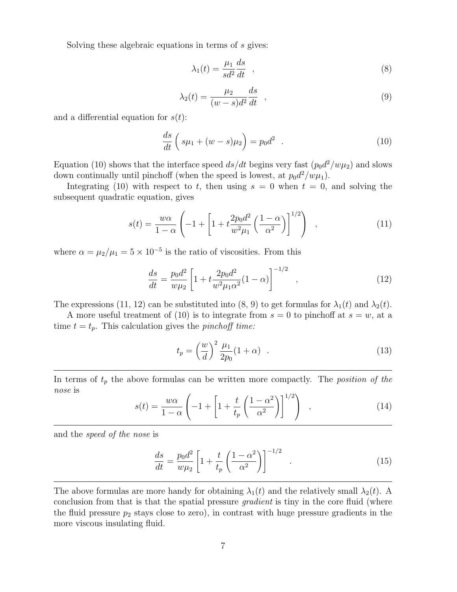Solving these algebraic equations in terms of s gives:

$$
\lambda_1(t) = \frac{\mu_1}{sd^2} \frac{ds}{dt} \quad , \tag{8}
$$

$$
\lambda_2(t) = \frac{\mu_2}{(w-s)d^2} \frac{ds}{dt} \quad , \tag{9}
$$

and a differential equation for  $s(t)$ :

$$
\frac{ds}{dt}\left(s\mu_1 + (w-s)\mu_2\right) = p_0 d^2 \quad . \tag{10}
$$

Equation (10) shows that the interface speed  $ds/dt$  begins very fast  $(p_0d^2/w\mu_2)$  and slows down continually until pinchoff (when the speed is lowest, at  $p_0 d^2 / w \mu_1$ ).

Integrating (10) with respect to t, then using  $s = 0$  when  $t = 0$ , and solving the subsequent quadratic equation, gives

$$
s(t) = \frac{w\alpha}{1 - \alpha} \left( -1 + \left[ 1 + t \frac{2p_0 d^2}{w^2 \mu_1} \left( \frac{1 - \alpha}{\alpha^2} \right) \right]^{1/2} \right) , \qquad (11)
$$

where  $\alpha = \mu_2/\mu_1 = 5 \times 10^{-5}$  is the ratio of viscosities. From this

$$
\frac{ds}{dt} = \frac{p_0 d^2}{w\mu_2} \left[ 1 + t \frac{2p_0 d^2}{w^2 \mu_1 \alpha^2} (1 - \alpha) \right]^{-1/2} , \qquad (12)
$$

The expressions (11, 12) can be substituted into (8, 9) to get formulas for  $\lambda_1(t)$  and  $\lambda_2(t)$ .

A more useful treatment of (10) is to integrate from  $s = 0$  to pinchoff at  $s = w$ , at a time  $t = t_p$ . This calculation gives the *pinchoff time:* 

$$
t_p = \left(\frac{w}{d}\right)^2 \frac{\mu_1}{2p_0} (1+\alpha) \quad . \tag{13}
$$

In terms of  $t_p$  the above formulas can be written more compactly. The *position of the* nose is

$$
s(t) = \frac{w\alpha}{1-\alpha} \left( -1 + \left[ 1 + \frac{t}{t_p} \left( \frac{1-\alpha^2}{\alpha^2} \right) \right]^{1/2} \right) , \qquad (14)
$$

and the speed of the nose is

$$
\frac{ds}{dt} = \frac{p_0 d^2}{w\mu_2} \left[ 1 + \frac{t}{t_p} \left( \frac{1 - \alpha^2}{\alpha^2} \right) \right]^{-1/2} \quad . \tag{15}
$$

The above formulas are more handy for obtaining  $\lambda_1(t)$  and the relatively small  $\lambda_2(t)$ . A conclusion from that is that the spatial pressure *gradient* is tiny in the core fluid (where the fluid pressure  $p_2$  stays close to zero), in contrast with huge pressure gradients in the more viscous insulating fluid.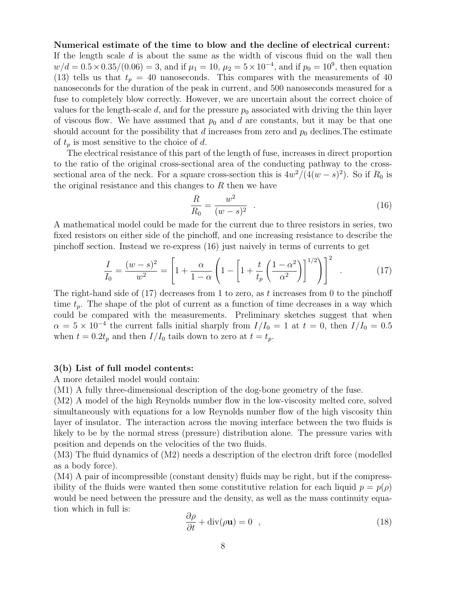# Numerical estimate of the time to blow and the decline of electrical current:

If the length scale  $d$  is about the same as the width of viscous fluid on the wall then  $w/d = 0.5 \times 0.35/(0.06) = 3$ , and if  $\mu_1 = 10$ ,  $\mu_2 = 5 \times 10^{-4}$ , and if  $p_0 = 10^9$ , then equation (13) tells us that  $t_p = 40$  nanoseconds. This compares with the measurements of 40 nanoseconds for the duration of the peak in current, and 500 nanoseconds measured for a fuse to completely blow correctly. However, we are uncertain about the correct choice of values for the length-scale  $d$ , and for the pressure  $p_0$  associated with driving the thin layer of viscous flow. We have assumed that  $p_0$  and d are constants, but it may be that one should account for the possibility that d increases from zero and  $p_0$  declines. The estimate of  $t_p$  is most sensitive to the choice of d.

The electrical resistance of this part of the length of fuse, increases in direct proportion to the ratio of the original cross-sectional area of the conducting pathway to the crosssectional area of the neck. For a square cross-section this is  $4w^2/(4(w-s)^2)$ . So if  $R_0$  is the original resistance and this changes to  $R$  then we have

$$
\frac{R}{R_0} = \frac{w^2}{(w - s)^2} \quad . \tag{16}
$$

A mathematical model could be made for the current due to three resistors in series, two fixed resistors on either side of the pinchoff, and one increasing resistance to describe the pinchoff section. Instead we re-express (16) just naively in terms of currents to get

$$
\frac{I}{I_0} = \frac{(w-s)^2}{w^2} = \left[1 + \frac{\alpha}{1-\alpha} \left(1 - \left[1 + \frac{t}{t_p} \left(\frac{1-\alpha^2}{\alpha^2}\right)\right]^{1/2}\right)\right]^2 \quad . \tag{17}
$$

The right-hand side of  $(17)$  decreases from 1 to zero, as t increases from 0 to the pinchoff time  $t_p$ . The shape of the plot of current as a function of time decreases in a way which could be compared with the measurements. Preliminary sketches suggest that when  $\alpha = 5 \times 10^{-4}$  the current falls initial sharply from  $I/I_0 = 1$  at  $t = 0$ , then  $I/I_0 = 0.5$ when  $t = 0.2t_p$  and then  $I/I_0$  tails down to zero at  $t = t_p$ .

#### 3(b) List of full model contents:

A more detailed model would contain:

(M1) A fully three-dimensional description of the dog-bone geometry of the fuse.

(M2) A model of the high Reynolds number flow in the low-viscosity melted core, solved simultaneously with equations for a low Reynolds number flow of the high viscosity thin layer of insulator. The interaction across the moving interface between the two fluids is likely to be by the normal stress (pressure) distribution alone. The pressure varies with position and depends on the velocities of the two fluids.

(M3) The fluid dynamics of (M2) needs a description of the electron drift force (modelled as a body force).

(M4) A pair of incompressible (constant density) fluids may be right, but if the compressibility of the fluids were wanted then some constitutive relation for each liquid  $p = p(\rho)$ would be need between the pressure and the density, as well as the mass continuity equation which in full is:

$$
\frac{\partial \rho}{\partial t} + \text{div}(\rho \mathbf{u}) = 0 \quad , \tag{18}
$$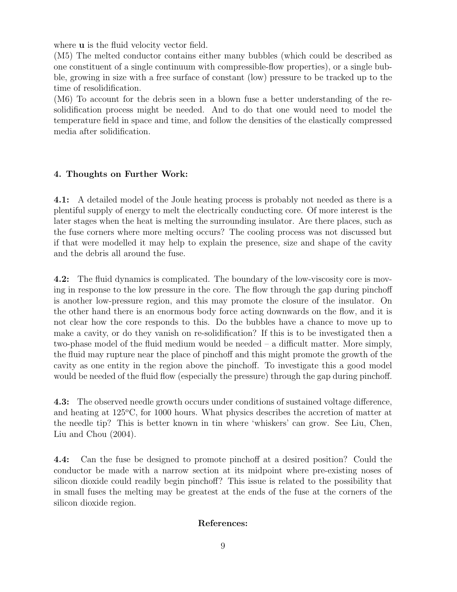where **u** is the fluid velocity vector field.

(M5) The melted conductor contains either many bubbles (which could be described as one constituent of a single continuum with compressible-flow properties), or a single bubble, growing in size with a free surface of constant (low) pressure to be tracked up to the time of resolidification.

(M6) To account for the debris seen in a blown fuse a better understanding of the resolidification process might be needed. And to do that one would need to model the temperature field in space and time, and follow the densities of the elastically compressed media after solidification.

# 4. Thoughts on Further Work:

4.1: A detailed model of the Joule heating process is probably not needed as there is a plentiful supply of energy to melt the electrically conducting core. Of more interest is the later stages when the heat is melting the surrounding insulator. Are there places, such as the fuse corners where more melting occurs? The cooling process was not discussed but if that were modelled it may help to explain the presence, size and shape of the cavity and the debris all around the fuse.

4.2: The fluid dynamics is complicated. The boundary of the low-viscosity core is moving in response to the low pressure in the core. The flow through the gap during pinchoff is another low-pressure region, and this may promote the closure of the insulator. On the other hand there is an enormous body force acting downwards on the flow, and it is not clear how the core responds to this. Do the bubbles have a chance to move up to make a cavity, or do they vanish on re-solidification? If this is to be investigated then a two-phase model of the fluid medium would be needed – a difficult matter. More simply, the fluid may rupture near the place of pinchoff and this might promote the growth of the cavity as one entity in the region above the pinchoff. To investigate this a good model would be needed of the fluid flow (especially the pressure) through the gap during pinchoff.

4.3: The observed needle growth occurs under conditions of sustained voltage difference, and heating at  $125^{\circ}$ C, for 1000 hours. What physics describes the accretion of matter at the needle tip? This is better known in tin where 'whiskers' can grow. See Liu, Chen, Liu and Chou (2004).

4.4: Can the fuse be designed to promote pinchoff at a desired position? Could the conductor be made with a narrow section at its midpoint where pre-existing noses of silicon dioxide could readily begin pinchoff? This issue is related to the possibility that in small fuses the melting may be greatest at the ends of the fuse at the corners of the silicon dioxide region.

# References: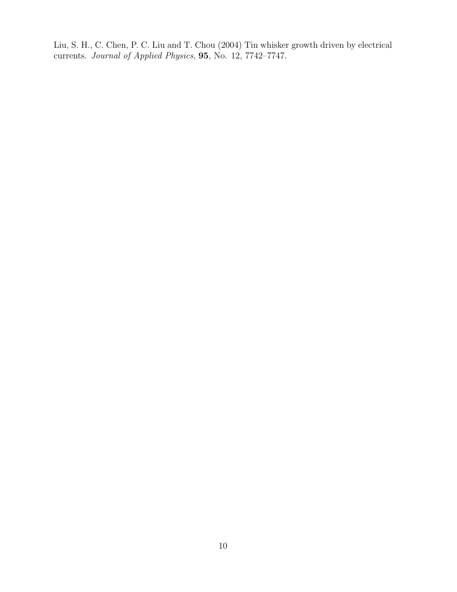Liu, S. H., C. Chen, P. C. Liu and T. Chou (2004) Tin whisker growth driven by electrical currents. Journal of Applied Physics, 95, No. 12, 7742–7747.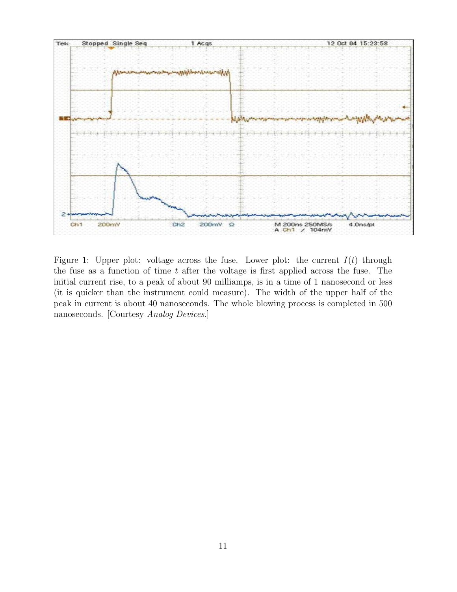

Figure 1: Upper plot: voltage across the fuse. Lower plot: the current  $I(t)$  through the fuse as a function of time  $t$  after the voltage is first applied across the fuse. The initial current rise, to a peak of about 90 milliamps, is in a time of 1 nanosecond or less (it is quicker than the instrument could measure). The width of the upper half of the peak in current is about 40 nanoseconds. The whole blowing process is completed in 500 nanoseconds. [Courtesy Analog Devices.]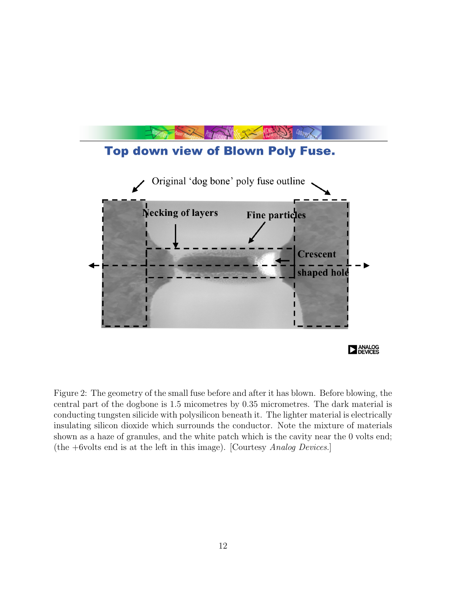

Figure 2: The geometry of the small fuse before and after it has blown. Before blowing, the central part of the dogbone is 1.5 micometres by 0.35 micrometres. The dark material is conducting tungsten silicide with polysilicon beneath it. The lighter material is electrically insulating silicon dioxide which surrounds the conductor. Note the mixture of materials shown as a haze of granules, and the white patch which is the cavity near the 0 volts end; (the +6volts end is at the left in this image). [Courtesy Analog Devices.]